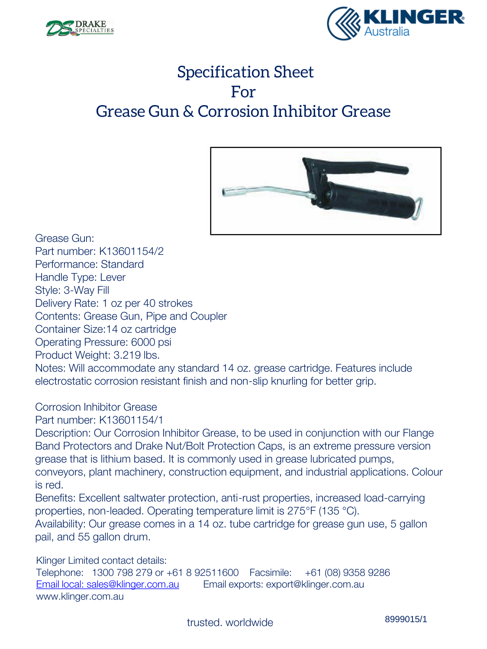



## Specification Sheet For Grease Gun & Corrosion Inhibitor Grease



Grease Gun: Part number: K13601154/2 Performance: Standard Handle Type: Lever Style: 3-Way Fill Delivery Rate: 1 oz per 40 strokes Contents: Grease Gun, Pipe and Coupler Container Size:14 oz cartridge Operating Pressure: 6000 psi Product Weight: 3.219 lbs. Notes: Will accommodate any standard 14 oz. grease cartridge. Features include electrostatic corrosion resistant finish and non-slip knurling for better grip.

Corrosion Inhibitor Grease

Part number: K13601154/1

Description: Our Corrosion Inhibitor Grease, to be used in conjunction with our Flange Band Protectors and Drake Nut/Bolt Protection Caps, is an extreme pressure version grease that is lithium based. It is commonly used in grease lubricated pumps, conveyors, plant machinery, construction equipment, and industrial applications. Colour is red.

Benefits: Excellent saltwater protection, anti-rust properties, increased load-carrying properties, non-leaded. Operating temperature limit is 275°F (135 °C).

Availability: Our grease comes in a 14 oz. tube cartridge for grease gun use, 5 gallon pail, and 55 gallon drum.

Klinger Limited contact details: Telephone: 1300 798 279 or +61 8 92511600 Facsimile: +61 (08) 9358 9286 [Email local: sales@klinger.com.au](mailto:sales@klinger.com.au) Email exports: export@klinger.com.au www.klinger.com.au